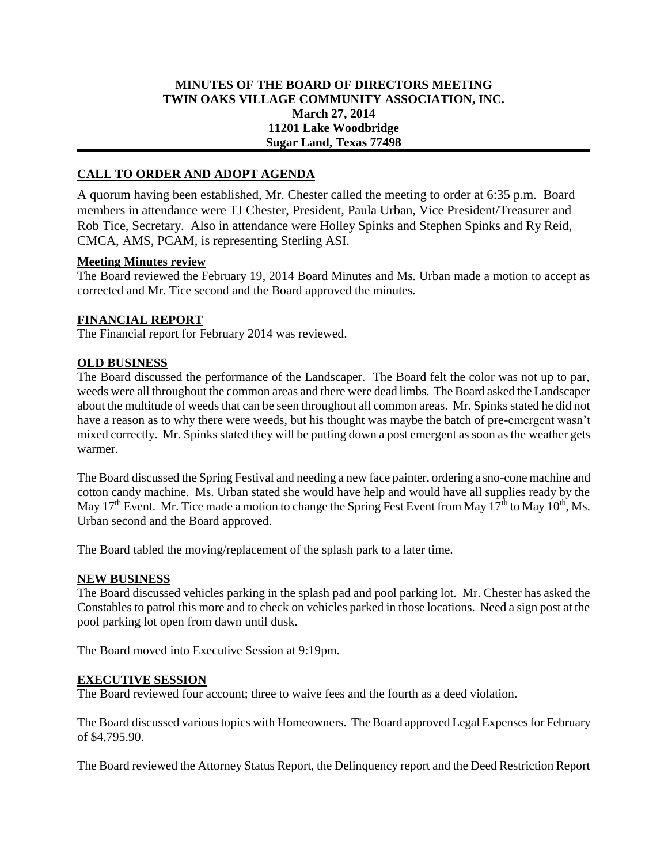## **MINUTES OF THE BOARD OF DIRECTORS MEETING TWIN OAKS VILLAGE COMMUNITY ASSOCIATION, INC. March 27, 2014 11201 Lake Woodbridge Sugar Land, Texas 77498**

# **CALL TO ORDER AND ADOPT AGENDA**

A quorum having been established, Mr. Chester called the meeting to order at 6:35 p.m. Board members in attendance were TJ Chester, President, Paula Urban, Vice President/Treasurer and Rob Tice, Secretary. Also in attendance were Holley Spinks and Stephen Spinks and Ry Reid, CMCA, AMS, PCAM, is representing Sterling ASI.

#### **Meeting Minutes review**

The Board reviewed the February 19, 2014 Board Minutes and Ms. Urban made a motion to accept as corrected and Mr. Tice second and the Board approved the minutes.

### **FINANCIAL REPORT**

The Financial report for February 2014 was reviewed.

### **OLD BUSINESS**

The Board discussed the performance of the Landscaper. The Board felt the color was not up to par, weeds were all throughout the common areas and there were dead limbs. The Board asked the Landscaper about the multitude of weeds that can be seen throughout all common areas. Mr. Spinks stated he did not have a reason as to why there were weeds, but his thought was maybe the batch of pre-emergent wasn't mixed correctly. Mr. Spinks stated they will be putting down a post emergent as soon as the weather gets warmer.

The Board discussed the Spring Festival and needing a new face painter, ordering a sno-cone machine and cotton candy machine. Ms. Urban stated she would have help and would have all supplies ready by the May 17<sup>th</sup> Event. Mr. Tice made a motion to change the Spring Fest Event from May 17<sup>th</sup> to May 10<sup>th</sup>, Ms. Urban second and the Board approved.

The Board tabled the moving/replacement of the splash park to a later time.

### **NEW BUSINESS**

The Board discussed vehicles parking in the splash pad and pool parking lot. Mr. Chester has asked the Constables to patrol this more and to check on vehicles parked in those locations. Need a sign post at the pool parking lot open from dawn until dusk.

The Board moved into Executive Session at 9:19pm.

#### **EXECUTIVE SESSION**

The Board reviewed four account; three to waive fees and the fourth as a deed violation.

The Board discussed various topics with Homeowners. The Board approved Legal Expenses for February of \$4,795.90.

The Board reviewed the Attorney Status Report, the Delinquency report and the Deed Restriction Report